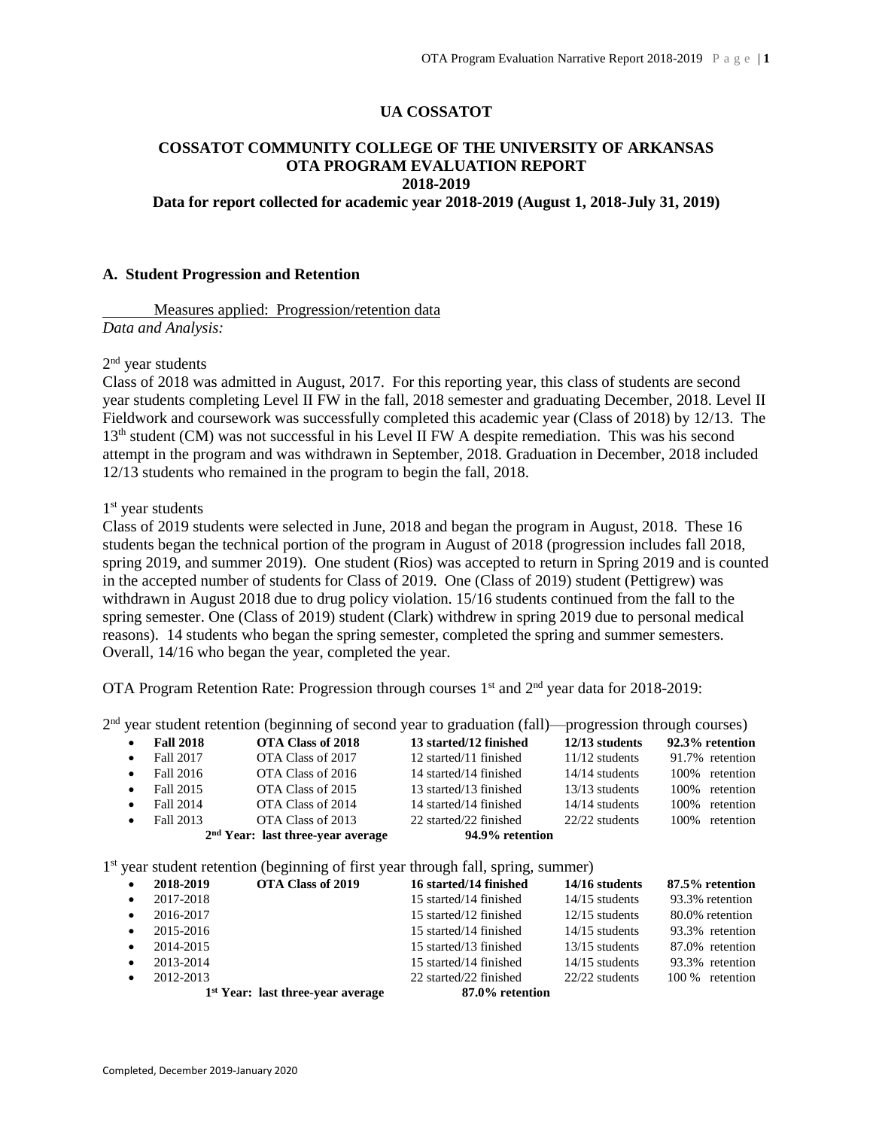#### **UA COSSATOT**

## **COSSATOT COMMUNITY COLLEGE OF THE UNIVERSITY OF ARKANSAS OTA PROGRAM EVALUATION REPORT 2018-2019**

**Data for report collected for academic year 2018-2019 (August 1, 2018-July 31, 2019)**

#### **A. Student Progression and Retention**

Measures applied: Progression/retention data *Data and Analysis:*

2<sup>nd</sup> year students

Class of 2018 was admitted in August, 2017. For this reporting year, this class of students are second year students completing Level II FW in the fall, 2018 semester and graduating December, 2018. Level II Fieldwork and coursework was successfully completed this academic year (Class of 2018) by 12/13. The 13<sup>th</sup> student (CM) was not successful in his Level II FW A despite remediation. This was his second attempt in the program and was withdrawn in September, 2018. Graduation in December, 2018 included 12/13 students who remained in the program to begin the fall, 2018.

1<sup>st</sup> year students

Class of 2019 students were selected in June, 2018 and began the program in August, 2018. These 16 students began the technical portion of the program in August of 2018 (progression includes fall 2018, spring 2019, and summer 2019). One student (Rios) was accepted to return in Spring 2019 and is counted in the accepted number of students for Class of 2019. One (Class of 2019) student (Pettigrew) was withdrawn in August 2018 due to drug policy violation. 15/16 students continued from the fall to the spring semester. One (Class of 2019) student (Clark) withdrew in spring 2019 due to personal medical reasons). 14 students who began the spring semester, completed the spring and summer semesters. Overall, 14/16 who began the year, completed the year.

OTA Program Retention Rate: Progression through courses  $1<sup>st</sup>$  and  $2<sup>nd</sup>$  year data for 2018-2019:

2<sup>nd</sup> year student retention (beginning of second year to graduation (fall)—progression through courses)

| $\bullet$ | <b>Fall 2018</b> | OTA Class of 2018                   | 13 started/12 finished | $12/13$ students | 92.3% retention |
|-----------|------------------|-------------------------------------|------------------------|------------------|-----------------|
| $\bullet$ | Fall 2017        | OTA Class of 2017                   | 12 started/11 finished | $11/12$ students | 91.7% retention |
| $\bullet$ | Fall 2016        | OTA Class of 2016                   | 14 started/14 finished | $14/14$ students | 100% retention  |
| $\bullet$ | Fall 2015        | OTA Class of 2015                   | 13 started/13 finished | $13/13$ students | 100% retention  |
| $\bullet$ | Fall 2014        | OTA Class of 2014                   | 14 started/14 finished | $14/14$ students | 100% retention  |
|           | Fall 2013        | OTA Class of 2013                   | 22 started/22 finished | 22/22 students   | 100% retention  |
|           |                  | $2nd Year: last three-year average$ | 94.9% retention        |                  |                 |
|           |                  |                                     |                        |                  |                 |
|           |                  |                                     |                        |                  |                 |

1<sup>st</sup> year student retention (beginning of first year through fall, spring, summer)

| $\bullet$ | OTA Class of 2019<br>2018-2019      | 16 started/14 finished | 14/16 students   | 87.5% retention |
|-----------|-------------------------------------|------------------------|------------------|-----------------|
| $\bullet$ | 2017-2018                           | 15 started/14 finished | $14/15$ students | 93.3% retention |
| $\bullet$ | 2016-2017                           | 15 started/12 finished | $12/15$ students | 80.0% retention |
| $\bullet$ | 2015-2016                           | 15 started/14 finished | $14/15$ students | 93.3% retention |
| $\bullet$ | 2014-2015                           | 15 started/13 finished | $13/15$ students | 87.0% retention |
| $\bullet$ | 2013-2014                           | 15 started/14 finished | $14/15$ students | 93.3% retention |
| $\bullet$ | 2012-2013                           | 22 started/22 finished | 22/22 students   | 100 % retention |
|           | $1st Year: last three-year average$ | 87.0% retention        |                  |                 |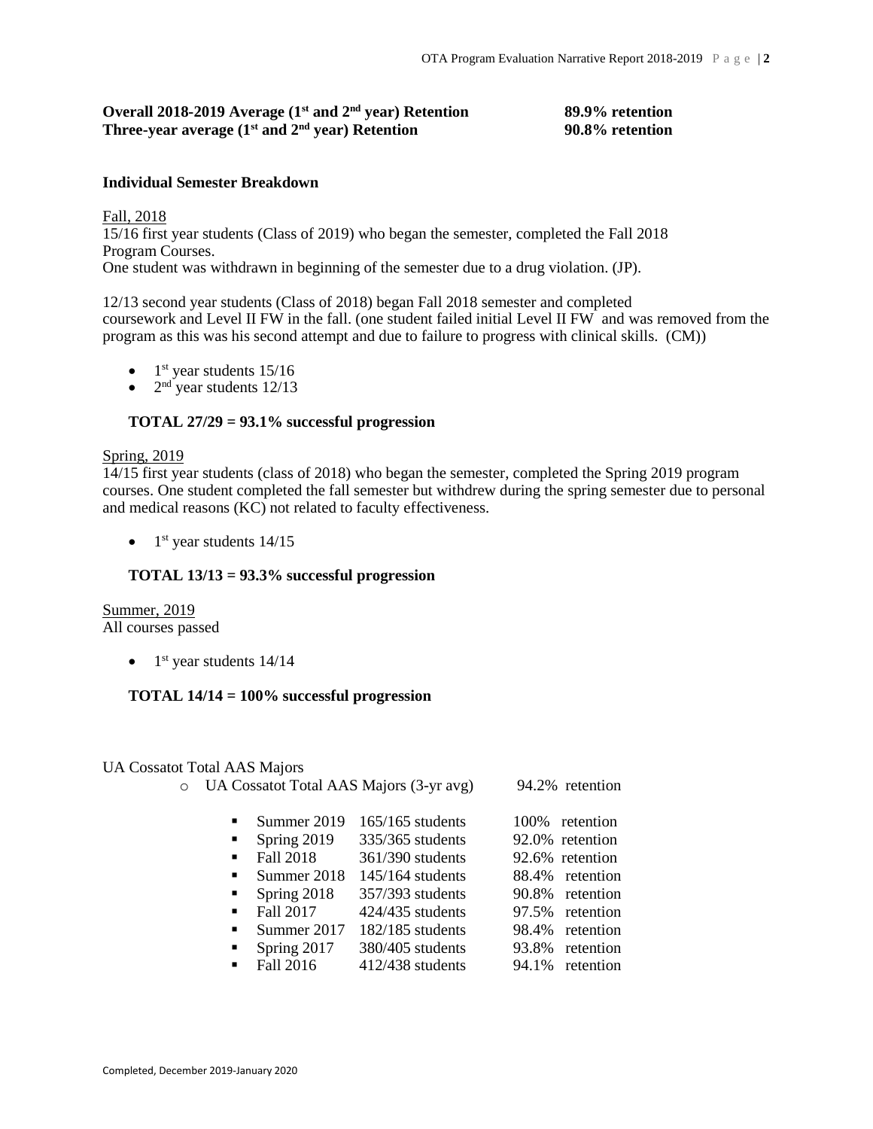# **Overall 2018-2019 Average (1st and 2nd year) Retention 89.9% retention Three-year average (1st and 2nd year) Retention 90.8% retention**

## **Individual Semester Breakdown**

Fall, 2018 15/16 first year students (Class of 2019) who began the semester, completed the Fall 2018 Program Courses. One student was withdrawn in beginning of the semester due to a drug violation. (JP).

12/13 second year students (Class of 2018) began Fall 2018 semester and completed coursework and Level II FW in the fall. (one student failed initial Level II FW and was removed from the program as this was his second attempt and due to failure to progress with clinical skills. (CM))

- $\bullet$  1<sup>st</sup> year students 15/16
- $2<sup>nd</sup>$  year students 12/13

## **TOTAL 27/29 = 93.1% successful progression**

# Spring, 2019

14/15 first year students (class of 2018) who began the semester, completed the Spring 2019 program courses. One student completed the fall semester but withdrew during the spring semester due to personal and medical reasons (KC) not related to faculty effectiveness.

 $\bullet$  1<sup>st</sup> year students 14/15

## **TOTAL 13/13 = 93.3% successful progression**

**Summer**, 2019 All courses passed

 $\bullet$  1<sup>st</sup> year students 14/14

## **TOTAL 14/14 = 100% successful progression**

## UA Cossatot Total AAS Majors

| $\circ$ |                                                                                |                                                                                    | UA Cossatot Total AAS Majors (3-yr avg)                                                                                    |                         | 94.2% retention                                                                              |
|---------|--------------------------------------------------------------------------------|------------------------------------------------------------------------------------|----------------------------------------------------------------------------------------------------------------------------|-------------------------|----------------------------------------------------------------------------------------------|
|         | $\blacksquare$<br>٠<br>$\blacksquare$<br>$\blacksquare$<br>٠<br>$\blacksquare$ | Summer 2019<br>Spring 2019<br>Fall 2018<br>Summer 2018<br>Spring 2018<br>Fall 2017 | $165/165$ students<br>335/365 students<br>361/390 students<br>$145/164$ students<br>357/393 students<br>$424/435$ students | 100%<br>90.8%<br>97.5%  | retention<br>92.0% retention<br>92.6% retention<br>88.4% retention<br>retention<br>retention |
|         | ٠<br>٠<br>$\blacksquare$                                                       | Summer 2017<br>Spring 2017<br>Fall 2016                                            | $182/185$ students<br>380/405 students<br>$412/438$ students                                                               | 98.4%<br>93.8%<br>94.1% | retention<br>retention<br>retention                                                          |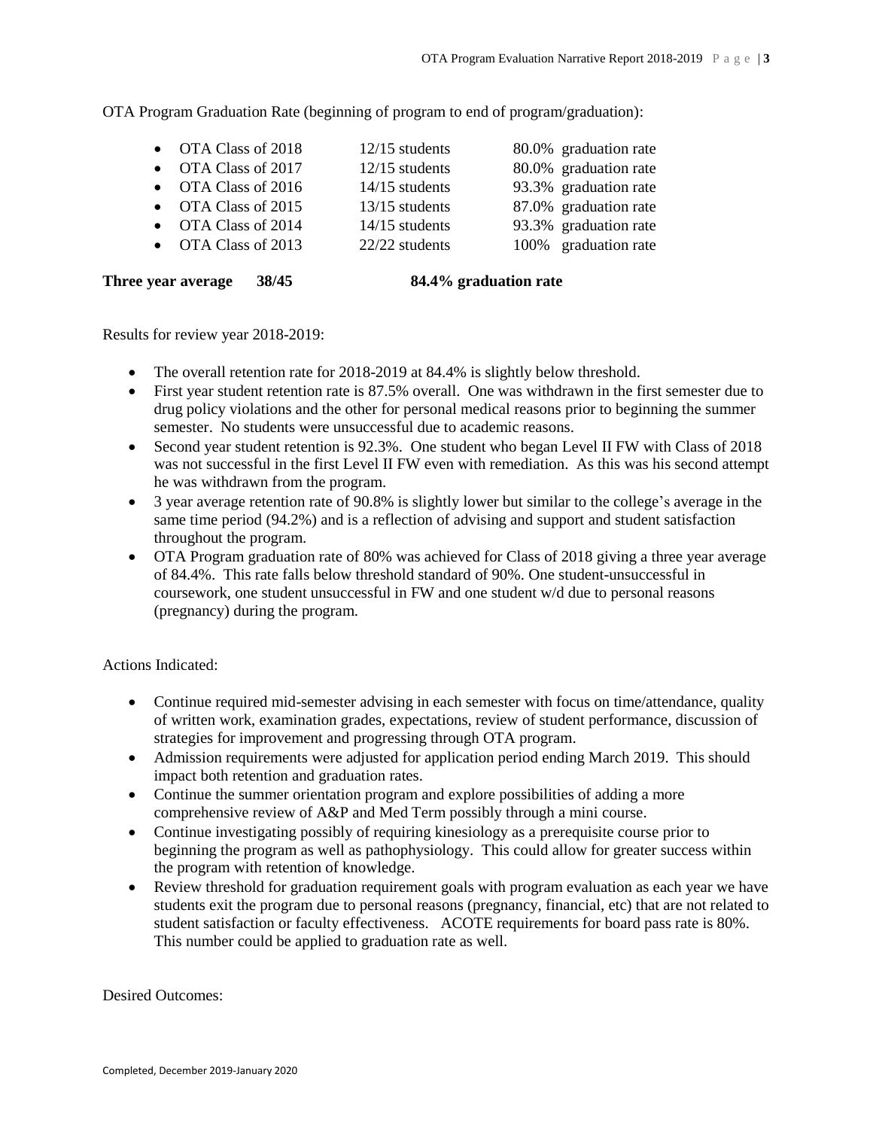OTA Program Graduation Rate (beginning of program to end of program/graduation):

| • OTA Class of 2018 | 12/15 students   | 80.0% graduation rate |
|---------------------|------------------|-----------------------|
| • OTA Class of 2017 | $12/15$ students | 80.0% graduation rate |
| • OTA Class of 2016 | $14/15$ students | 93.3% graduation rate |
| • OTA Class of 2015 | $13/15$ students | 87.0% graduation rate |
| • OTA Class of 2014 | $14/15$ students | 93.3% graduation rate |
| • OTA Class of 2013 | 22/22 students   | 100% graduation rate  |
|                     |                  |                       |

**Three year average 38/45 84.4% graduation rate**

Results for review year 2018-2019:

- The overall retention rate for 2018-2019 at 84.4% is slightly below threshold.
- First year student retention rate is 87.5% overall. One was withdrawn in the first semester due to drug policy violations and the other for personal medical reasons prior to beginning the summer semester. No students were unsuccessful due to academic reasons.
- Second year student retention is 92.3%. One student who began Level II FW with Class of 2018 was not successful in the first Level II FW even with remediation. As this was his second attempt he was withdrawn from the program.
- 3 year average retention rate of 90.8% is slightly lower but similar to the college's average in the same time period (94.2%) and is a reflection of advising and support and student satisfaction throughout the program.
- OTA Program graduation rate of 80% was achieved for Class of 2018 giving a three year average of 84.4%. This rate falls below threshold standard of 90%. One student-unsuccessful in coursework, one student unsuccessful in FW and one student w/d due to personal reasons (pregnancy) during the program.

Actions Indicated:

- Continue required mid-semester advising in each semester with focus on time/attendance, quality of written work, examination grades, expectations, review of student performance, discussion of strategies for improvement and progressing through OTA program.
- Admission requirements were adjusted for application period ending March 2019. This should impact both retention and graduation rates.
- Continue the summer orientation program and explore possibilities of adding a more comprehensive review of A&P and Med Term possibly through a mini course.
- Continue investigating possibly of requiring kinesiology as a prerequisite course prior to beginning the program as well as pathophysiology. This could allow for greater success within the program with retention of knowledge.
- Review threshold for graduation requirement goals with program evaluation as each year we have students exit the program due to personal reasons (pregnancy, financial, etc) that are not related to student satisfaction or faculty effectiveness. ACOTE requirements for board pass rate is 80%. This number could be applied to graduation rate as well.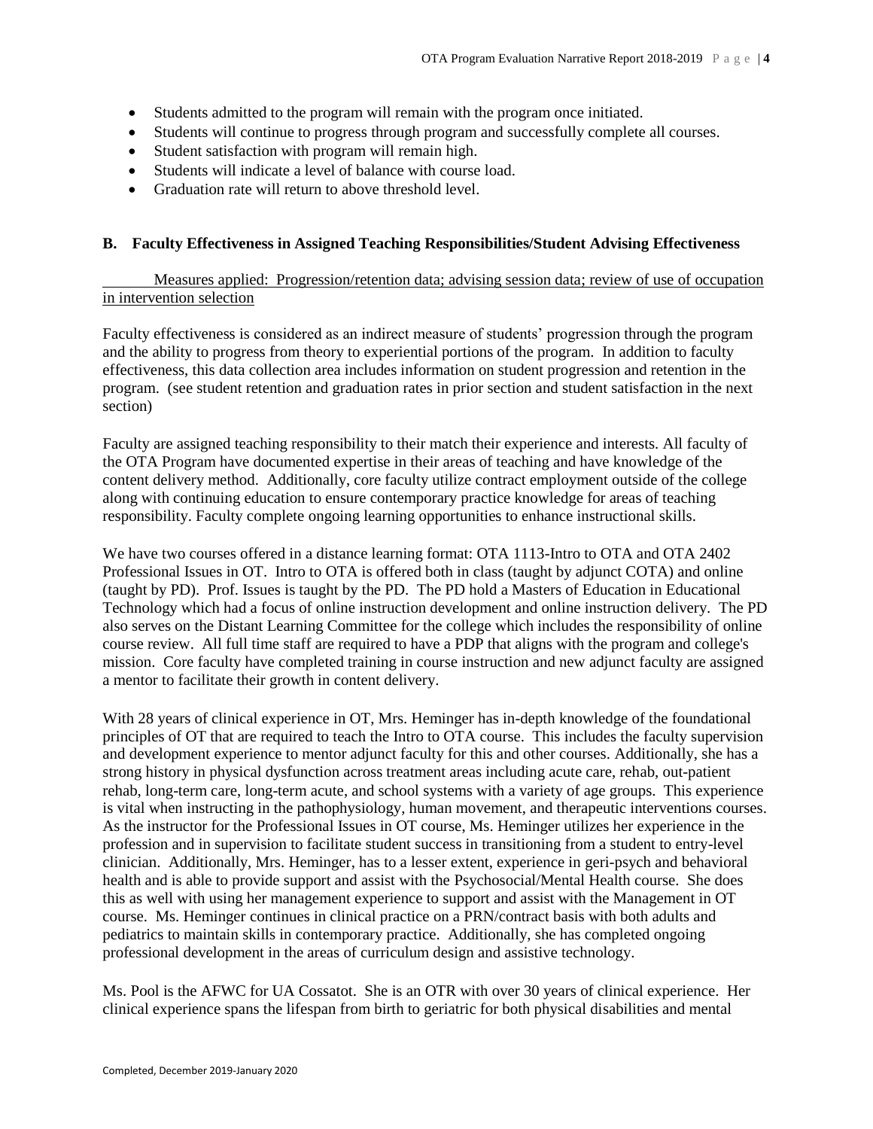- Students admitted to the program will remain with the program once initiated.
- Students will continue to progress through program and successfully complete all courses.
- Student satisfaction with program will remain high.
- Students will indicate a level of balance with course load.
- Graduation rate will return to above threshold level.

# **B. Faculty Effectiveness in Assigned Teaching Responsibilities/Student Advising Effectiveness**

Measures applied: Progression/retention data; advising session data; review of use of occupation in intervention selection

Faculty effectiveness is considered as an indirect measure of students' progression through the program and the ability to progress from theory to experiential portions of the program. In addition to faculty effectiveness, this data collection area includes information on student progression and retention in the program. (see student retention and graduation rates in prior section and student satisfaction in the next section)

Faculty are assigned teaching responsibility to their match their experience and interests. All faculty of the OTA Program have documented expertise in their areas of teaching and have knowledge of the content delivery method. Additionally, core faculty utilize contract employment outside of the college along with continuing education to ensure contemporary practice knowledge for areas of teaching responsibility. Faculty complete ongoing learning opportunities to enhance instructional skills.

We have two courses offered in a distance learning format: OTA 1113-Intro to OTA and OTA 2402 Professional Issues in OT. Intro to OTA is offered both in class (taught by adjunct COTA) and online (taught by PD). Prof. Issues is taught by the PD. The PD hold a Masters of Education in Educational Technology which had a focus of online instruction development and online instruction delivery. The PD also serves on the Distant Learning Committee for the college which includes the responsibility of online course review. All full time staff are required to have a PDP that aligns with the program and college's mission. Core faculty have completed training in course instruction and new adjunct faculty are assigned a mentor to facilitate their growth in content delivery.

With 28 years of clinical experience in OT, Mrs. Heminger has in-depth knowledge of the foundational principles of OT that are required to teach the Intro to OTA course. This includes the faculty supervision and development experience to mentor adjunct faculty for this and other courses. Additionally, she has a strong history in physical dysfunction across treatment areas including acute care, rehab, out-patient rehab, long-term care, long-term acute, and school systems with a variety of age groups. This experience is vital when instructing in the pathophysiology, human movement, and therapeutic interventions courses. As the instructor for the Professional Issues in OT course, Ms. Heminger utilizes her experience in the profession and in supervision to facilitate student success in transitioning from a student to entry-level clinician. Additionally, Mrs. Heminger, has to a lesser extent, experience in geri-psych and behavioral health and is able to provide support and assist with the Psychosocial/Mental Health course. She does this as well with using her management experience to support and assist with the Management in OT course. Ms. Heminger continues in clinical practice on a PRN/contract basis with both adults and pediatrics to maintain skills in contemporary practice. Additionally, she has completed ongoing professional development in the areas of curriculum design and assistive technology.

Ms. Pool is the AFWC for UA Cossatot. She is an OTR with over 30 years of clinical experience. Her clinical experience spans the lifespan from birth to geriatric for both physical disabilities and mental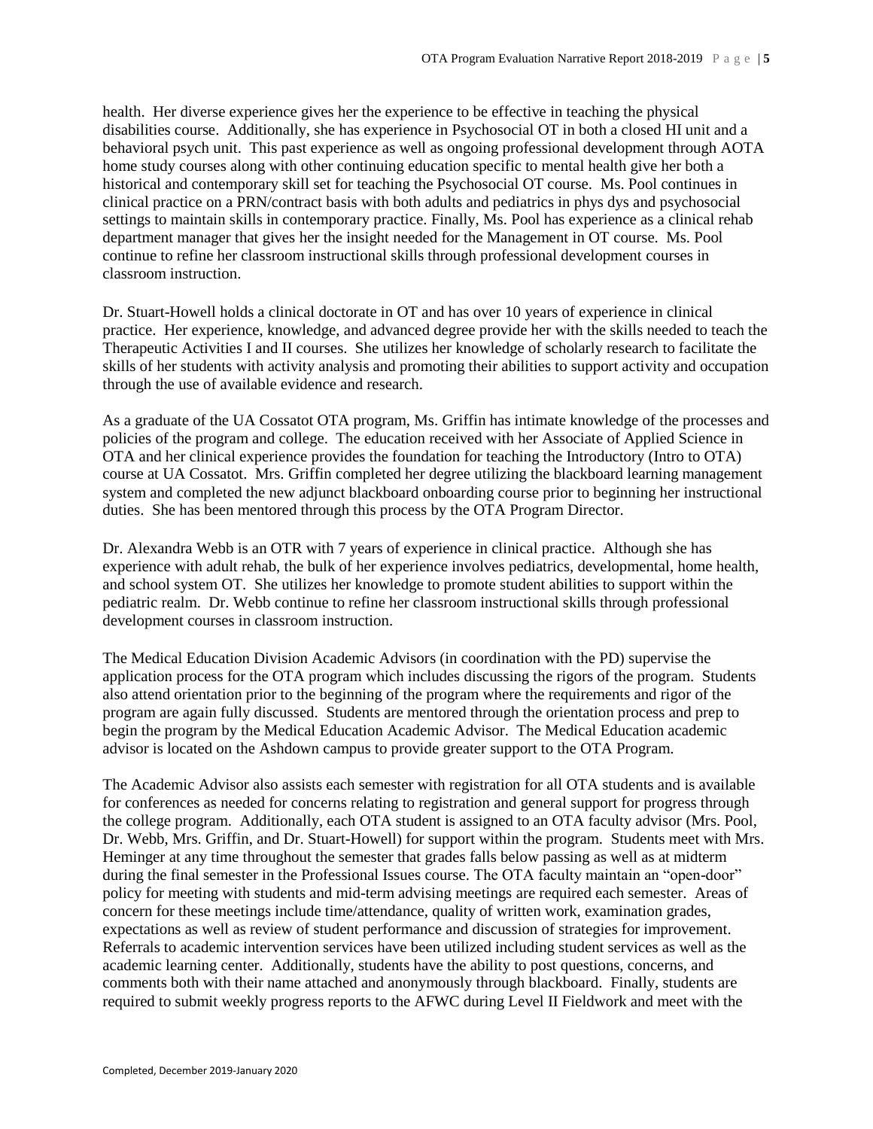health. Her diverse experience gives her the experience to be effective in teaching the physical disabilities course. Additionally, she has experience in Psychosocial OT in both a closed HI unit and a behavioral psych unit. This past experience as well as ongoing professional development through AOTA home study courses along with other continuing education specific to mental health give her both a historical and contemporary skill set for teaching the Psychosocial OT course. Ms. Pool continues in clinical practice on a PRN/contract basis with both adults and pediatrics in phys dys and psychosocial settings to maintain skills in contemporary practice. Finally, Ms. Pool has experience as a clinical rehab department manager that gives her the insight needed for the Management in OT course. Ms. Pool continue to refine her classroom instructional skills through professional development courses in classroom instruction.

Dr. Stuart-Howell holds a clinical doctorate in OT and has over 10 years of experience in clinical practice. Her experience, knowledge, and advanced degree provide her with the skills needed to teach the Therapeutic Activities I and II courses. She utilizes her knowledge of scholarly research to facilitate the skills of her students with activity analysis and promoting their abilities to support activity and occupation through the use of available evidence and research.

As a graduate of the UA Cossatot OTA program, Ms. Griffin has intimate knowledge of the processes and policies of the program and college. The education received with her Associate of Applied Science in OTA and her clinical experience provides the foundation for teaching the Introductory (Intro to OTA) course at UA Cossatot. Mrs. Griffin completed her degree utilizing the blackboard learning management system and completed the new adjunct blackboard onboarding course prior to beginning her instructional duties. She has been mentored through this process by the OTA Program Director.

Dr. Alexandra Webb is an OTR with 7 years of experience in clinical practice. Although she has experience with adult rehab, the bulk of her experience involves pediatrics, developmental, home health, and school system OT. She utilizes her knowledge to promote student abilities to support within the pediatric realm. Dr. Webb continue to refine her classroom instructional skills through professional development courses in classroom instruction.

The Medical Education Division Academic Advisors (in coordination with the PD) supervise the application process for the OTA program which includes discussing the rigors of the program. Students also attend orientation prior to the beginning of the program where the requirements and rigor of the program are again fully discussed. Students are mentored through the orientation process and prep to begin the program by the Medical Education Academic Advisor. The Medical Education academic advisor is located on the Ashdown campus to provide greater support to the OTA Program.

The Academic Advisor also assists each semester with registration for all OTA students and is available for conferences as needed for concerns relating to registration and general support for progress through the college program. Additionally, each OTA student is assigned to an OTA faculty advisor (Mrs. Pool, Dr. Webb, Mrs. Griffin, and Dr. Stuart-Howell) for support within the program. Students meet with Mrs. Heminger at any time throughout the semester that grades falls below passing as well as at midterm during the final semester in the Professional Issues course. The OTA faculty maintain an "open-door" policy for meeting with students and mid-term advising meetings are required each semester. Areas of concern for these meetings include time/attendance, quality of written work, examination grades, expectations as well as review of student performance and discussion of strategies for improvement. Referrals to academic intervention services have been utilized including student services as well as the academic learning center. Additionally, students have the ability to post questions, concerns, and comments both with their name attached and anonymously through blackboard. Finally, students are required to submit weekly progress reports to the AFWC during Level II Fieldwork and meet with the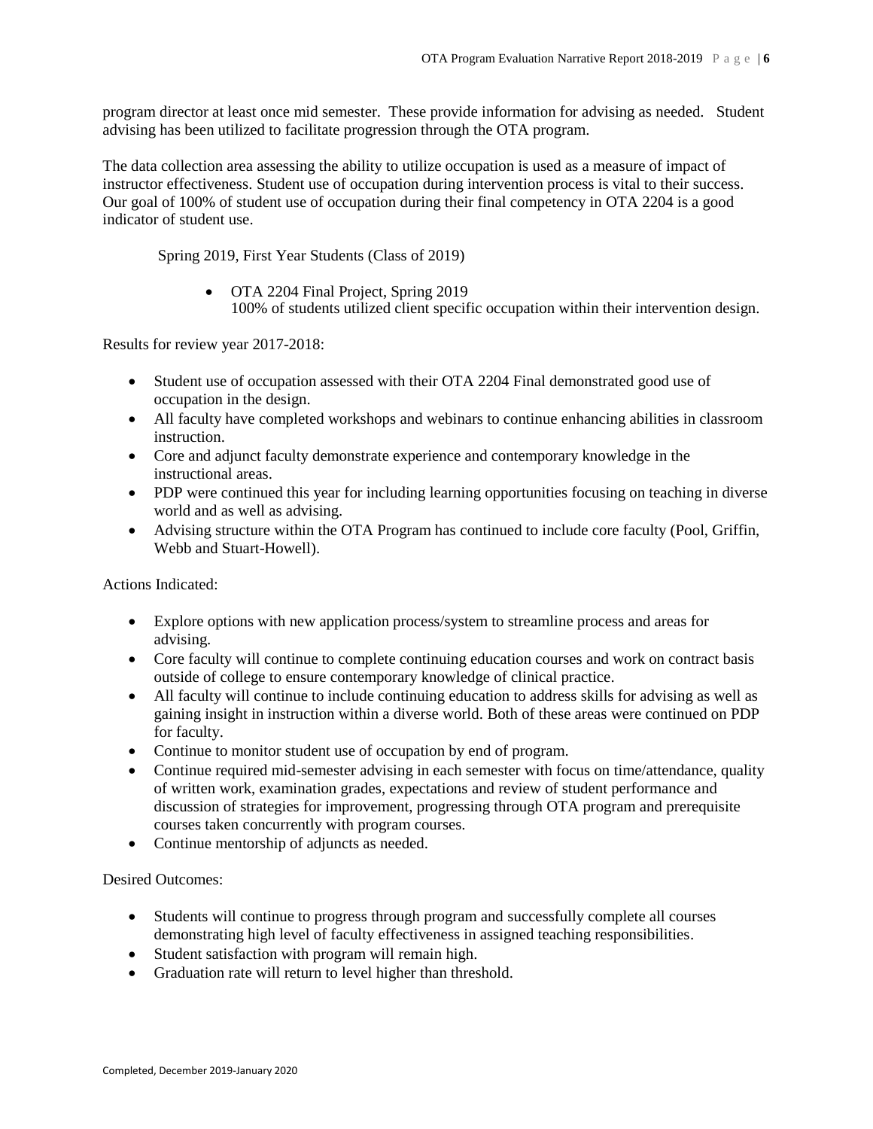program director at least once mid semester. These provide information for advising as needed. Student advising has been utilized to facilitate progression through the OTA program.

The data collection area assessing the ability to utilize occupation is used as a measure of impact of instructor effectiveness. Student use of occupation during intervention process is vital to their success. Our goal of 100% of student use of occupation during their final competency in OTA 2204 is a good indicator of student use.

Spring 2019, First Year Students (Class of 2019)

• OTA 2204 Final Project, Spring 2019 100% of students utilized client specific occupation within their intervention design.

Results for review year 2017-2018:

- Student use of occupation assessed with their OTA 2204 Final demonstrated good use of occupation in the design.
- All faculty have completed workshops and webinars to continue enhancing abilities in classroom instruction.
- Core and adjunct faculty demonstrate experience and contemporary knowledge in the instructional areas.
- PDP were continued this year for including learning opportunities focusing on teaching in diverse world and as well as advising.
- Advising structure within the OTA Program has continued to include core faculty (Pool, Griffin, Webb and Stuart-Howell).

Actions Indicated:

- Explore options with new application process/system to streamline process and areas for advising.
- Core faculty will continue to complete continuing education courses and work on contract basis outside of college to ensure contemporary knowledge of clinical practice.
- All faculty will continue to include continuing education to address skills for advising as well as gaining insight in instruction within a diverse world. Both of these areas were continued on PDP for faculty.
- Continue to monitor student use of occupation by end of program.
- Continue required mid-semester advising in each semester with focus on time/attendance, quality of written work, examination grades, expectations and review of student performance and discussion of strategies for improvement, progressing through OTA program and prerequisite courses taken concurrently with program courses.
- Continue mentorship of adjuncts as needed.

- Students will continue to progress through program and successfully complete all courses demonstrating high level of faculty effectiveness in assigned teaching responsibilities.
- Student satisfaction with program will remain high.
- Graduation rate will return to level higher than threshold.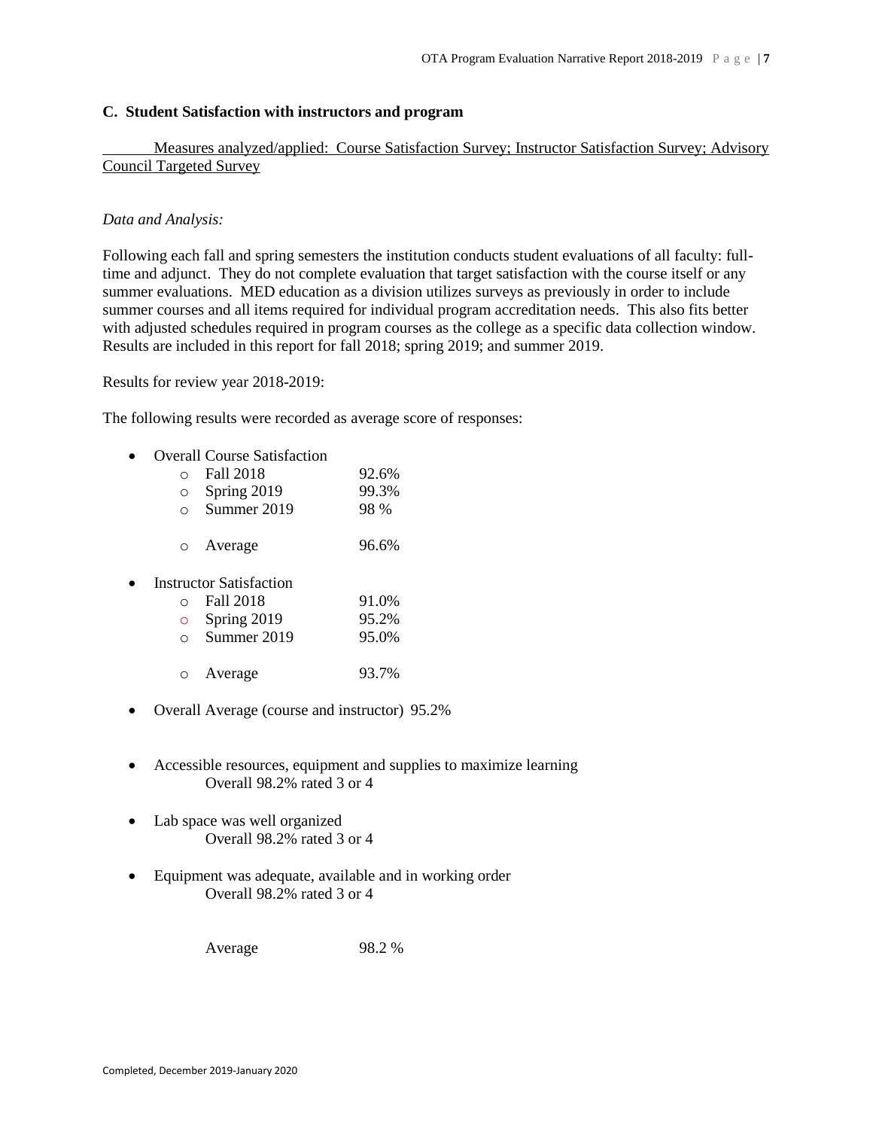## **C. Student Satisfaction with instructors and program**

Measures analyzed/applied: Course Satisfaction Survey; Instructor Satisfaction Survey; Advisory Council Targeted Survey

## *Data and Analysis:*

Following each fall and spring semesters the institution conducts student evaluations of all faculty: fulltime and adjunct. They do not complete evaluation that target satisfaction with the course itself or any summer evaluations. MED education as a division utilizes surveys as previously in order to include summer courses and all items required for individual program accreditation needs. This also fits better with adjusted schedules required in program courses as the college as a specific data collection window. Results are included in this report for fall 2018; spring 2019; and summer 2019.

Results for review year 2018-2019:

The following results were recorded as average score of responses:

| $\bullet$ |           | <b>Overall Course Satisfaction</b> |       |
|-----------|-----------|------------------------------------|-------|
|           |           | <b>Fall 2018</b>                   | 92.6% |
|           | $\Omega$  | Spring 2019                        | 99.3% |
|           | $\bigcap$ | Summer 2019                        | 98 %  |
|           |           |                                    |       |
|           |           | o Average                          | 96.6% |
|           |           |                                    |       |
| $\bullet$ |           | <b>Instructor Satisfaction</b>     |       |

| Instructor Satisfaction |           |  |
|-------------------------|-----------|--|
|                         | Fall 2018 |  |

| $\circ$ | Spring 2019 | 95.2% |
|---------|-------------|-------|
| $\circ$ | Summer 2019 | 95.0% |
|         | o Average   | 93.7% |

- Overall Average (course and instructor) 95.2%
- Accessible resources, equipment and supplies to maximize learning Overall 98.2% rated 3 or 4

 $91.0%$ 

- Lab space was well organized Overall 98.2% rated 3 or 4
- Equipment was adequate, available and in working order Overall 98.2% rated 3 or 4

Average 98.2 %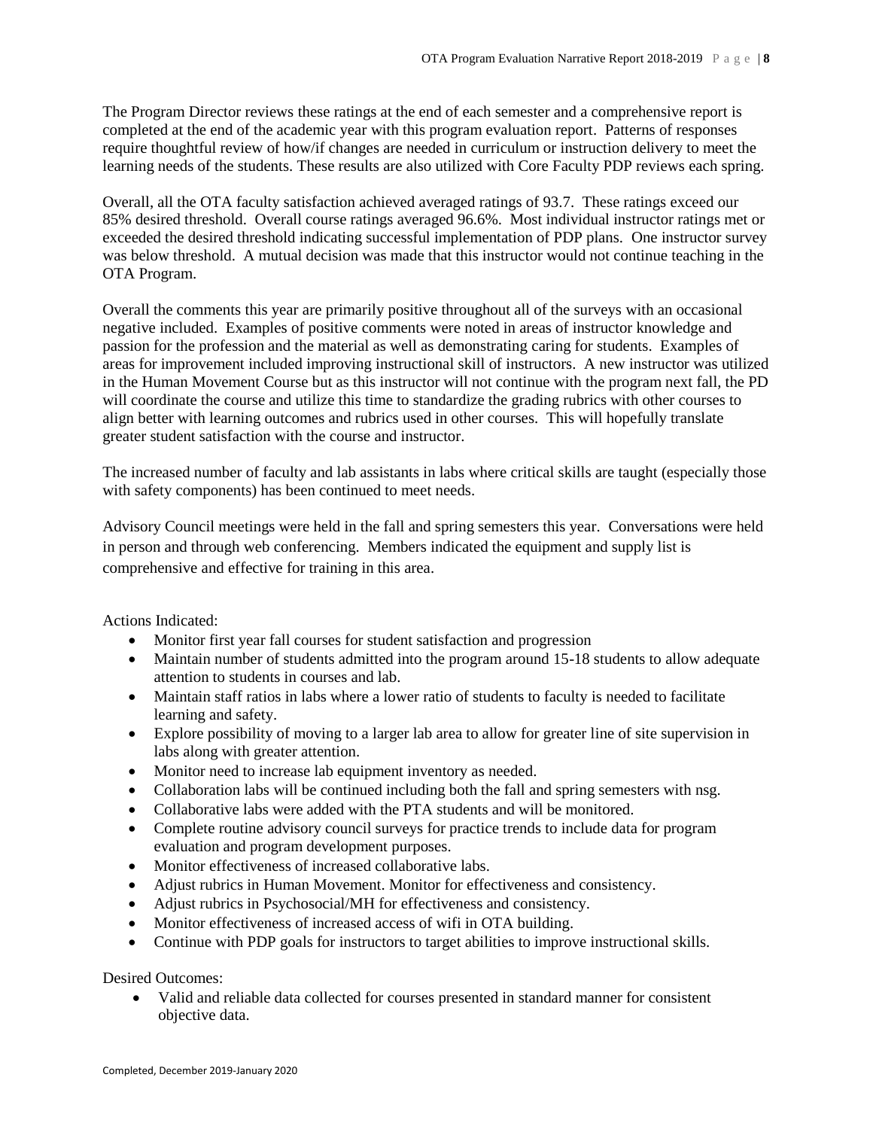The Program Director reviews these ratings at the end of each semester and a comprehensive report is completed at the end of the academic year with this program evaluation report. Patterns of responses require thoughtful review of how/if changes are needed in curriculum or instruction delivery to meet the learning needs of the students. These results are also utilized with Core Faculty PDP reviews each spring.

Overall, all the OTA faculty satisfaction achieved averaged ratings of 93.7. These ratings exceed our 85% desired threshold. Overall course ratings averaged 96.6%. Most individual instructor ratings met or exceeded the desired threshold indicating successful implementation of PDP plans. One instructor survey was below threshold. A mutual decision was made that this instructor would not continue teaching in the OTA Program.

Overall the comments this year are primarily positive throughout all of the surveys with an occasional negative included. Examples of positive comments were noted in areas of instructor knowledge and passion for the profession and the material as well as demonstrating caring for students. Examples of areas for improvement included improving instructional skill of instructors. A new instructor was utilized in the Human Movement Course but as this instructor will not continue with the program next fall, the PD will coordinate the course and utilize this time to standardize the grading rubrics with other courses to align better with learning outcomes and rubrics used in other courses. This will hopefully translate greater student satisfaction with the course and instructor.

The increased number of faculty and lab assistants in labs where critical skills are taught (especially those with safety components) has been continued to meet needs.

Advisory Council meetings were held in the fall and spring semesters this year. Conversations were held in person and through web conferencing. Members indicated the equipment and supply list is comprehensive and effective for training in this area.

Actions Indicated:

- Monitor first year fall courses for student satisfaction and progression
- Maintain number of students admitted into the program around 15-18 students to allow adequate attention to students in courses and lab.
- Maintain staff ratios in labs where a lower ratio of students to faculty is needed to facilitate learning and safety.
- Explore possibility of moving to a larger lab area to allow for greater line of site supervision in labs along with greater attention.
- Monitor need to increase lab equipment inventory as needed.
- Collaboration labs will be continued including both the fall and spring semesters with nsg.
- Collaborative labs were added with the PTA students and will be monitored.
- Complete routine advisory council surveys for practice trends to include data for program evaluation and program development purposes.
- Monitor effectiveness of increased collaborative labs.
- Adjust rubrics in Human Movement. Monitor for effectiveness and consistency.
- Adjust rubrics in Psychosocial/MH for effectiveness and consistency.
- Monitor effectiveness of increased access of wifi in OTA building.
- Continue with PDP goals for instructors to target abilities to improve instructional skills.

Desired Outcomes:

 Valid and reliable data collected for courses presented in standard manner for consistent objective data.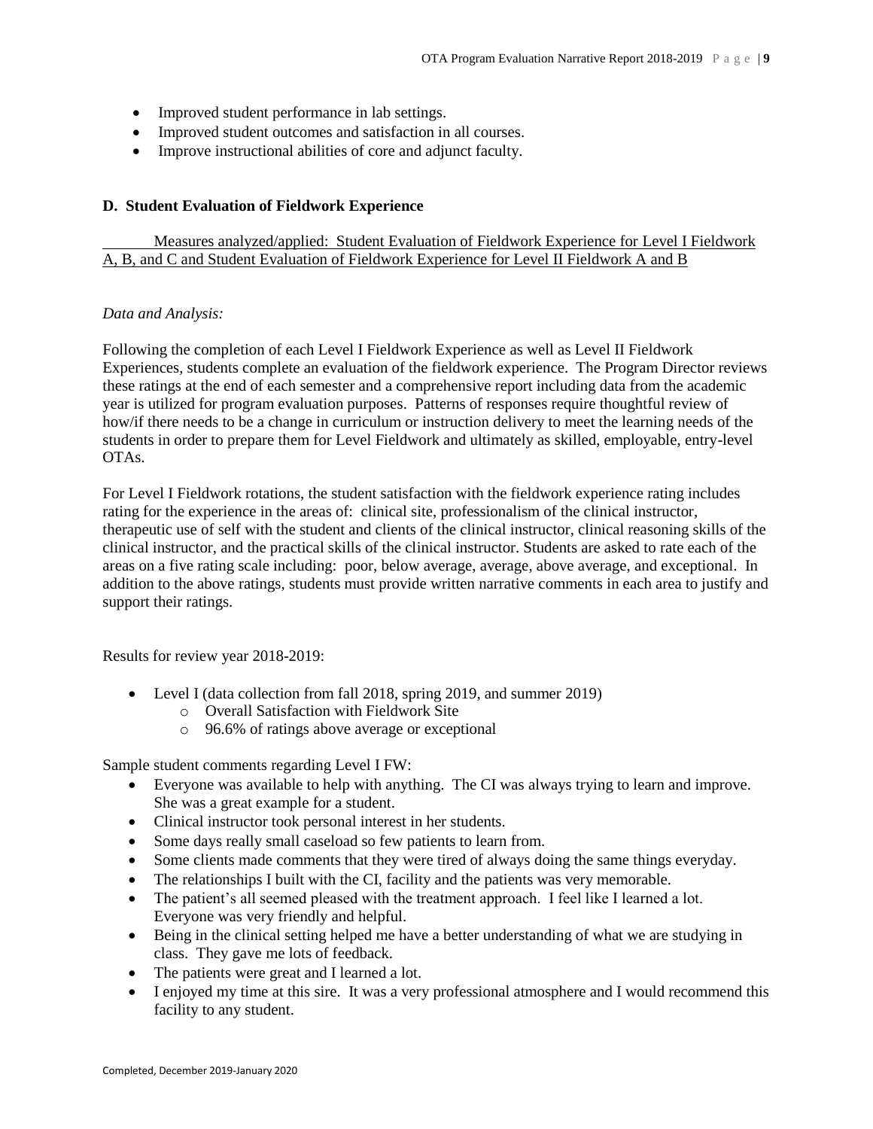- Improved student performance in lab settings.
- Improved student outcomes and satisfaction in all courses.
- Improve instructional abilities of core and adjunct faculty.

## **D. Student Evaluation of Fieldwork Experience**

# Measures analyzed/applied: Student Evaluation of Fieldwork Experience for Level I Fieldwork A, B, and C and Student Evaluation of Fieldwork Experience for Level II Fieldwork A and B

## *Data and Analysis:*

Following the completion of each Level I Fieldwork Experience as well as Level II Fieldwork Experiences, students complete an evaluation of the fieldwork experience. The Program Director reviews these ratings at the end of each semester and a comprehensive report including data from the academic year is utilized for program evaluation purposes. Patterns of responses require thoughtful review of how/if there needs to be a change in curriculum or instruction delivery to meet the learning needs of the students in order to prepare them for Level Fieldwork and ultimately as skilled, employable, entry-level OTAs.

For Level I Fieldwork rotations, the student satisfaction with the fieldwork experience rating includes rating for the experience in the areas of: clinical site, professionalism of the clinical instructor, therapeutic use of self with the student and clients of the clinical instructor, clinical reasoning skills of the clinical instructor, and the practical skills of the clinical instructor. Students are asked to rate each of the areas on a five rating scale including: poor, below average, average, above average, and exceptional. In addition to the above ratings, students must provide written narrative comments in each area to justify and support their ratings.

Results for review year 2018-2019:

- Level I (data collection from fall 2018, spring 2019, and summer 2019)
	- o Overall Satisfaction with Fieldwork Site
	- o 96.6% of ratings above average or exceptional

Sample student comments regarding Level I FW:

- Everyone was available to help with anything. The CI was always trying to learn and improve. She was a great example for a student.
- Clinical instructor took personal interest in her students.
- Some days really small caseload so few patients to learn from.
- Some clients made comments that they were tired of always doing the same things everyday.
- The relationships I built with the CI, facility and the patients was very memorable.
- The patient's all seemed pleased with the treatment approach. I feel like I learned a lot. Everyone was very friendly and helpful.
- Being in the clinical setting helped me have a better understanding of what we are studying in class. They gave me lots of feedback.
- The patients were great and I learned a lot.
- I enjoyed my time at this sire. It was a very professional atmosphere and I would recommend this facility to any student.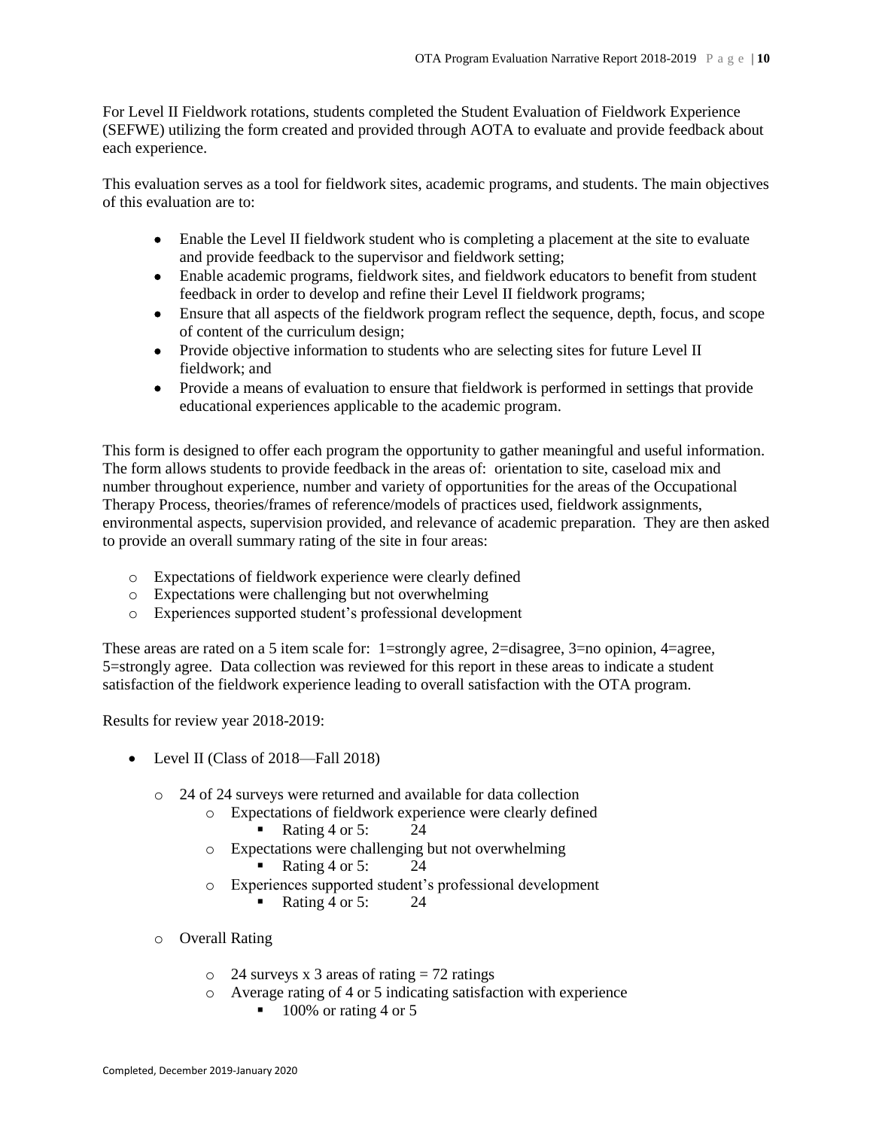For Level II Fieldwork rotations, students completed the Student Evaluation of Fieldwork Experience (SEFWE) utilizing the form created and provided through AOTA to evaluate and provide feedback about each experience.

This evaluation serves as a tool for fieldwork sites, academic programs, and students. The main objectives of this evaluation are to:

- Enable the Level II fieldwork student who is completing a placement at the site to evaluate and provide feedback to the supervisor and fieldwork setting;
- Enable academic programs, fieldwork sites, and fieldwork educators to benefit from student feedback in order to develop and refine their Level II fieldwork programs;
- Ensure that all aspects of the fieldwork program reflect the sequence, depth, focus, and scope of content of the curriculum design;
- Provide objective information to students who are selecting sites for future Level II fieldwork; and
- Provide a means of evaluation to ensure that fieldwork is performed in settings that provide educational experiences applicable to the academic program.

This form is designed to offer each program the opportunity to gather meaningful and useful information. The form allows students to provide feedback in the areas of: orientation to site, caseload mix and number throughout experience, number and variety of opportunities for the areas of the Occupational Therapy Process, theories/frames of reference/models of practices used, fieldwork assignments, environmental aspects, supervision provided, and relevance of academic preparation. They are then asked to provide an overall summary rating of the site in four areas:

- o Expectations of fieldwork experience were clearly defined
- o Expectations were challenging but not overwhelming
- o Experiences supported student's professional development

These areas are rated on a 5 item scale for: 1=strongly agree, 2=disagree, 3=no opinion, 4=agree, 5=strongly agree. Data collection was reviewed for this report in these areas to indicate a student satisfaction of the fieldwork experience leading to overall satisfaction with the OTA program.

Results for review year 2018-2019:

- Level II (Class of 2018—Fall 2018)
	- o 24 of 24 surveys were returned and available for data collection
		- o Expectations of fieldwork experience were clearly defined
			- Rating 4 or 5:  $24$
		- o Expectations were challenging but not overwhelming
			- Rating 4 or 5:  $24$
		- o Experiences supported student's professional development
			- Rating 4 or 5:  $24$
	- o Overall Rating
		- $\circ$  24 surveys x 3 areas of rating = 72 ratings
		- o Average rating of 4 or 5 indicating satisfaction with experience
			- $\blacksquare$  100% or rating 4 or 5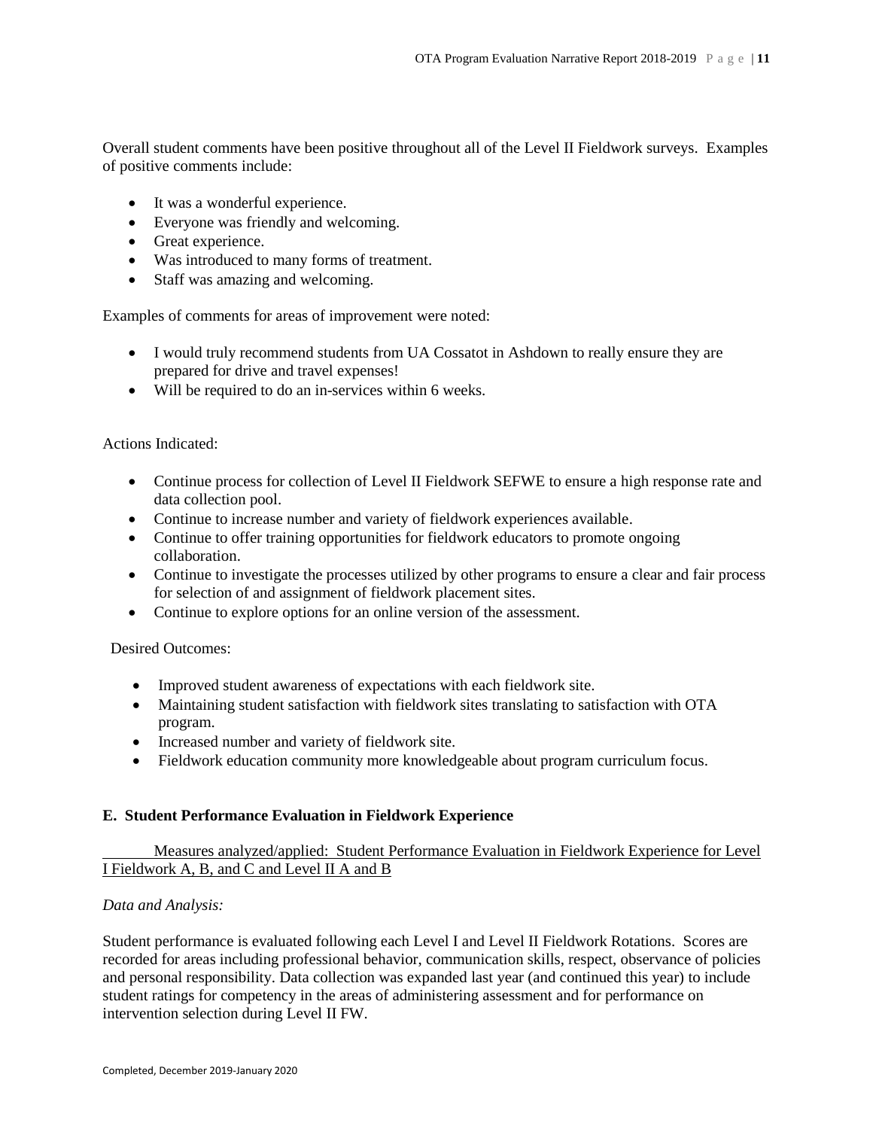Overall student comments have been positive throughout all of the Level II Fieldwork surveys. Examples of positive comments include:

- It was a wonderful experience.
- Everyone was friendly and welcoming.
- Great experience.
- Was introduced to many forms of treatment.
- Staff was amazing and welcoming.

Examples of comments for areas of improvement were noted:

- I would truly recommend students from UA Cossatot in Ashdown to really ensure they are prepared for drive and travel expenses!
- Will be required to do an in-services within 6 weeks.

Actions Indicated:

- Continue process for collection of Level II Fieldwork SEFWE to ensure a high response rate and data collection pool.
- Continue to increase number and variety of fieldwork experiences available.
- Continue to offer training opportunities for fieldwork educators to promote ongoing collaboration.
- Continue to investigate the processes utilized by other programs to ensure a clear and fair process for selection of and assignment of fieldwork placement sites.
- Continue to explore options for an online version of the assessment.

Desired Outcomes:

- Improved student awareness of expectations with each fieldwork site.
- Maintaining student satisfaction with fieldwork sites translating to satisfaction with OTA program.
- Increased number and variety of fieldwork site.
- Fieldwork education community more knowledgeable about program curriculum focus.

## **E. Student Performance Evaluation in Fieldwork Experience**

Measures analyzed/applied: Student Performance Evaluation in Fieldwork Experience for Level I Fieldwork A, B, and C and Level II A and B

## *Data and Analysis:*

Student performance is evaluated following each Level I and Level II Fieldwork Rotations. Scores are recorded for areas including professional behavior, communication skills, respect, observance of policies and personal responsibility. Data collection was expanded last year (and continued this year) to include student ratings for competency in the areas of administering assessment and for performance on intervention selection during Level II FW.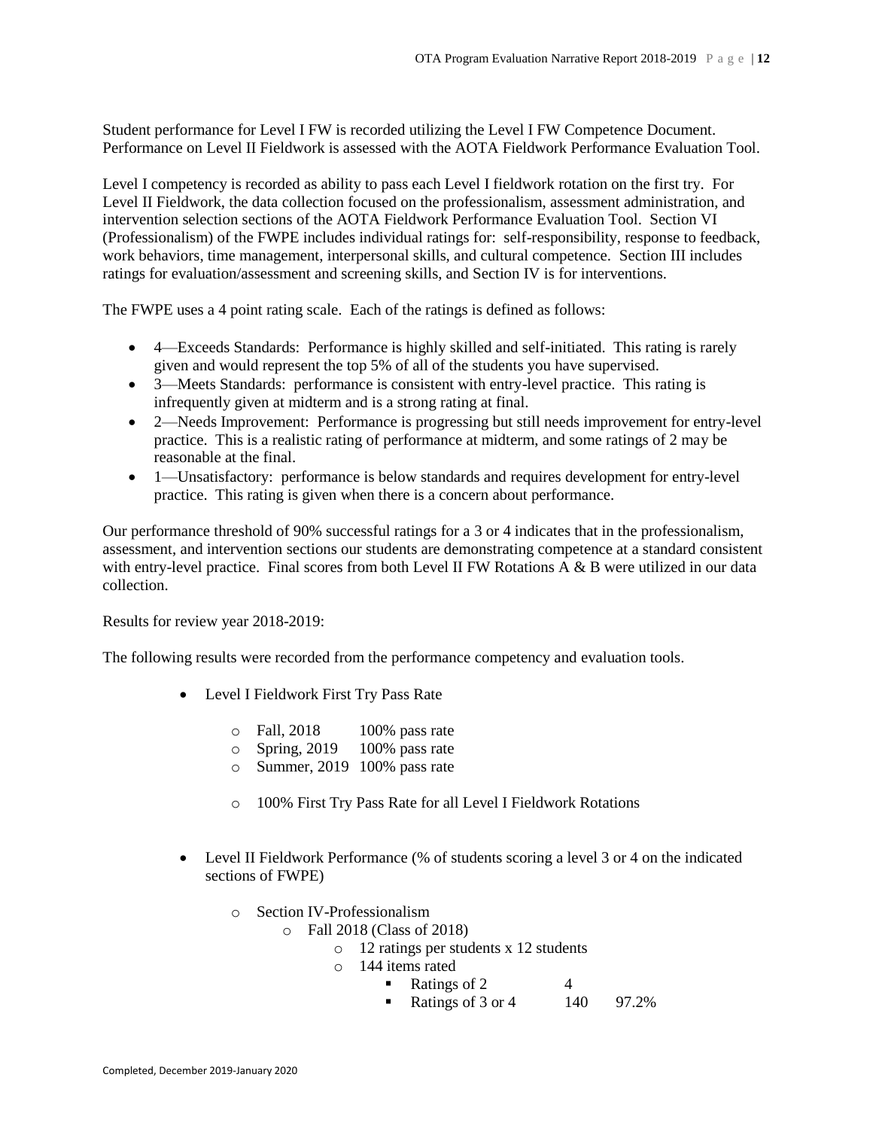Student performance for Level I FW is recorded utilizing the Level I FW Competence Document. Performance on Level II Fieldwork is assessed with the AOTA Fieldwork Performance Evaluation Tool.

Level I competency is recorded as ability to pass each Level I fieldwork rotation on the first try. For Level II Fieldwork, the data collection focused on the professionalism, assessment administration, and intervention selection sections of the AOTA Fieldwork Performance Evaluation Tool. Section VI (Professionalism) of the FWPE includes individual ratings for: self-responsibility, response to feedback, work behaviors, time management, interpersonal skills, and cultural competence. Section III includes ratings for evaluation/assessment and screening skills, and Section IV is for interventions.

The FWPE uses a 4 point rating scale. Each of the ratings is defined as follows:

- 4—Exceeds Standards: Performance is highly skilled and self-initiated. This rating is rarely given and would represent the top 5% of all of the students you have supervised.
- 3—Meets Standards: performance is consistent with entry-level practice. This rating is infrequently given at midterm and is a strong rating at final.
- 2—Needs Improvement: Performance is progressing but still needs improvement for entry-level practice. This is a realistic rating of performance at midterm, and some ratings of 2 may be reasonable at the final.
- 1—Unsatisfactory: performance is below standards and requires development for entry-level practice. This rating is given when there is a concern about performance.

Our performance threshold of 90% successful ratings for a 3 or 4 indicates that in the professionalism, assessment, and intervention sections our students are demonstrating competence at a standard consistent with entry-level practice. Final scores from both Level II FW Rotations A & B were utilized in our data collection.

Results for review year 2018-2019:

The following results were recorded from the performance competency and evaluation tools.

- Level I Fieldwork First Try Pass Rate
	- $\circ$  Fall, 2018 100% pass rate
	- o Spring, 2019 100% pass rate
	- o Summer, 2019 100% pass rate
	- o 100% First Try Pass Rate for all Level I Fieldwork Rotations
- Level II Fieldwork Performance (% of students scoring a level 3 or 4 on the indicated sections of FWPE)
	- o Section IV-Professionalism
		- o Fall 2018 (Class of 2018)
			- o 12 ratings per students x 12 students
			- o 144 items rated
				- Ratings of 2  $4$
				- Ratings of 3 or 4  $140$  97.2%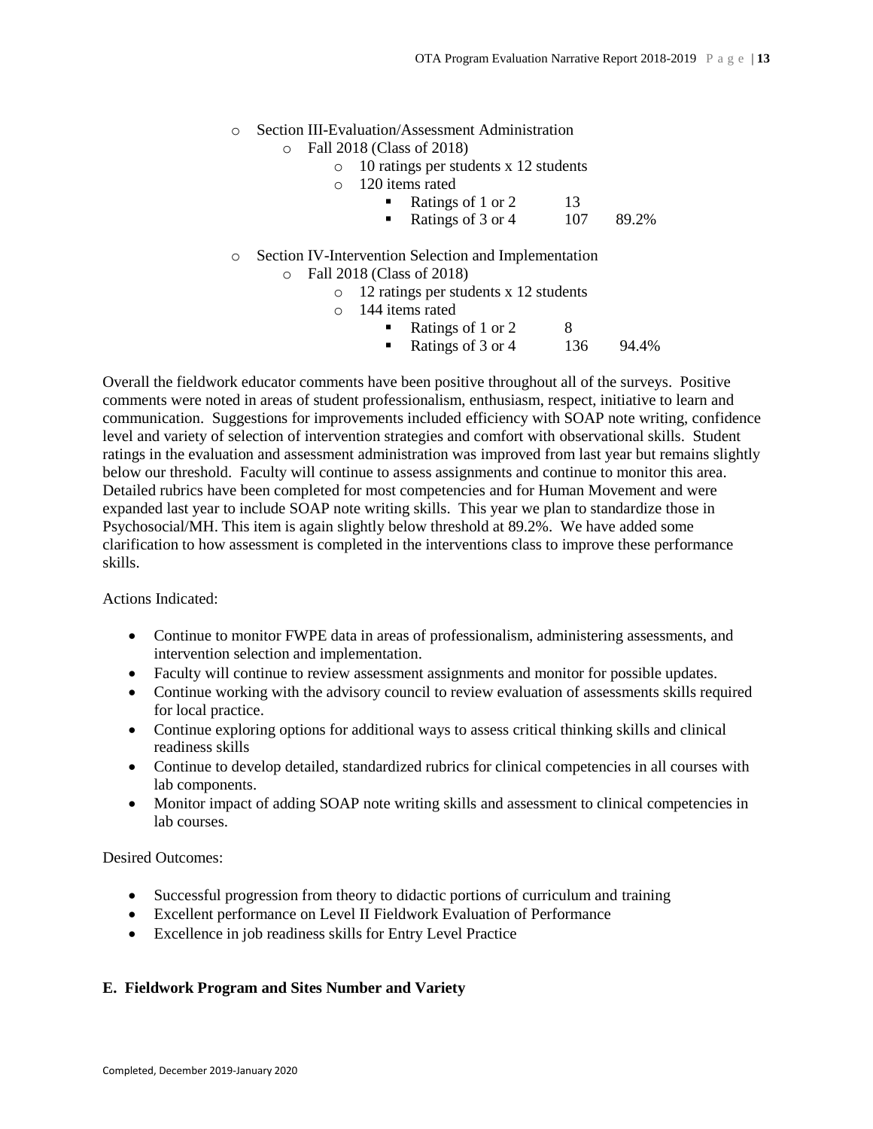- o Section III-Evaluation/Assessment Administration
	- o Fall 2018 (Class of 2018)
		- o 10 ratings per students x 12 students
		- o 120 items rated
			- Ratings of 1 or 2 13
			- Ratings of 3 or 4  $107$  89.2%
- o Section IV-Intervention Selection and Implementation o Fall 2018 (Class of 2018)
	- o 12 ratings per students x 12 students
	- o 144 items rated
		- Ratings of 1 or 2 8
		- Ratings of 3 or 4 136 94.4%

Overall the fieldwork educator comments have been positive throughout all of the surveys. Positive comments were noted in areas of student professionalism, enthusiasm, respect, initiative to learn and communication. Suggestions for improvements included efficiency with SOAP note writing, confidence level and variety of selection of intervention strategies and comfort with observational skills. Student ratings in the evaluation and assessment administration was improved from last year but remains slightly below our threshold. Faculty will continue to assess assignments and continue to monitor this area. Detailed rubrics have been completed for most competencies and for Human Movement and were expanded last year to include SOAP note writing skills. This year we plan to standardize those in Psychosocial/MH. This item is again slightly below threshold at 89.2%. We have added some clarification to how assessment is completed in the interventions class to improve these performance skills.

Actions Indicated:

- Continue to monitor FWPE data in areas of professionalism, administering assessments, and intervention selection and implementation.
- Faculty will continue to review assessment assignments and monitor for possible updates.
- Continue working with the advisory council to review evaluation of assessments skills required for local practice.
- Continue exploring options for additional ways to assess critical thinking skills and clinical readiness skills
- Continue to develop detailed, standardized rubrics for clinical competencies in all courses with lab components.
- Monitor impact of adding SOAP note writing skills and assessment to clinical competencies in lab courses.

Desired Outcomes:

- Successful progression from theory to didactic portions of curriculum and training
- Excellent performance on Level II Fieldwork Evaluation of Performance
- Excellence in job readiness skills for Entry Level Practice

# **E. Fieldwork Program and Sites Number and Variety**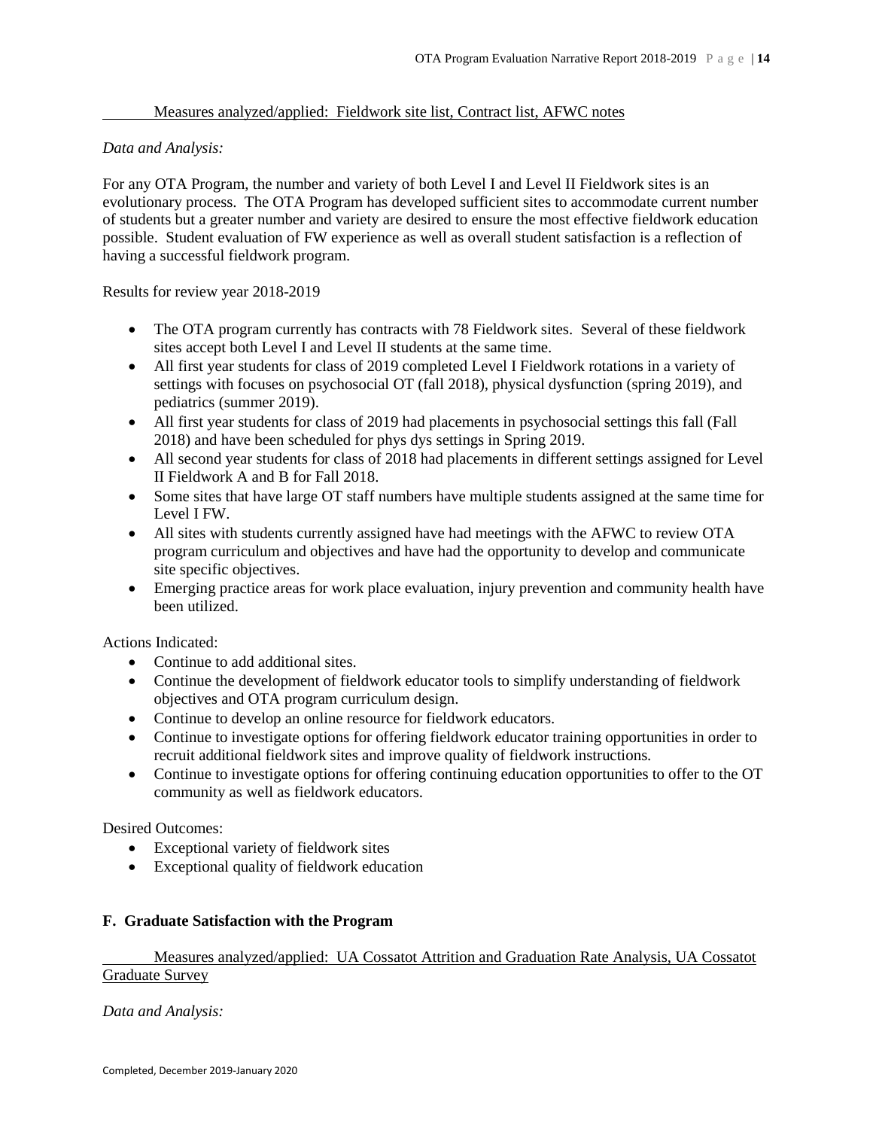# Measures analyzed/applied: Fieldwork site list, Contract list, AFWC notes

# *Data and Analysis:*

For any OTA Program, the number and variety of both Level I and Level II Fieldwork sites is an evolutionary process. The OTA Program has developed sufficient sites to accommodate current number of students but a greater number and variety are desired to ensure the most effective fieldwork education possible. Student evaluation of FW experience as well as overall student satisfaction is a reflection of having a successful fieldwork program.

Results for review year 2018-2019

- The OTA program currently has contracts with 78 Fieldwork sites. Several of these fieldwork sites accept both Level I and Level II students at the same time.
- All first year students for class of 2019 completed Level I Fieldwork rotations in a variety of settings with focuses on psychosocial OT (fall 2018), physical dysfunction (spring 2019), and pediatrics (summer 2019).
- All first year students for class of 2019 had placements in psychosocial settings this fall (Fall 2018) and have been scheduled for phys dys settings in Spring 2019.
- All second year students for class of 2018 had placements in different settings assigned for Level II Fieldwork A and B for Fall 2018.
- Some sites that have large OT staff numbers have multiple students assigned at the same time for Level I FW.
- All sites with students currently assigned have had meetings with the AFWC to review OTA program curriculum and objectives and have had the opportunity to develop and communicate site specific objectives.
- Emerging practice areas for work place evaluation, injury prevention and community health have been utilized.

Actions Indicated:

- Continue to add additional sites.
- Continue the development of fieldwork educator tools to simplify understanding of fieldwork objectives and OTA program curriculum design.
- Continue to develop an online resource for fieldwork educators.
- Continue to investigate options for offering fieldwork educator training opportunities in order to recruit additional fieldwork sites and improve quality of fieldwork instructions.
- Continue to investigate options for offering continuing education opportunities to offer to the OT community as well as fieldwork educators.

Desired Outcomes:

- Exceptional variety of fieldwork sites
- Exceptional quality of fieldwork education

# **F. Graduate Satisfaction with the Program**

Measures analyzed/applied: UA Cossatot Attrition and Graduation Rate Analysis, UA Cossatot Graduate Survey

*Data and Analysis:*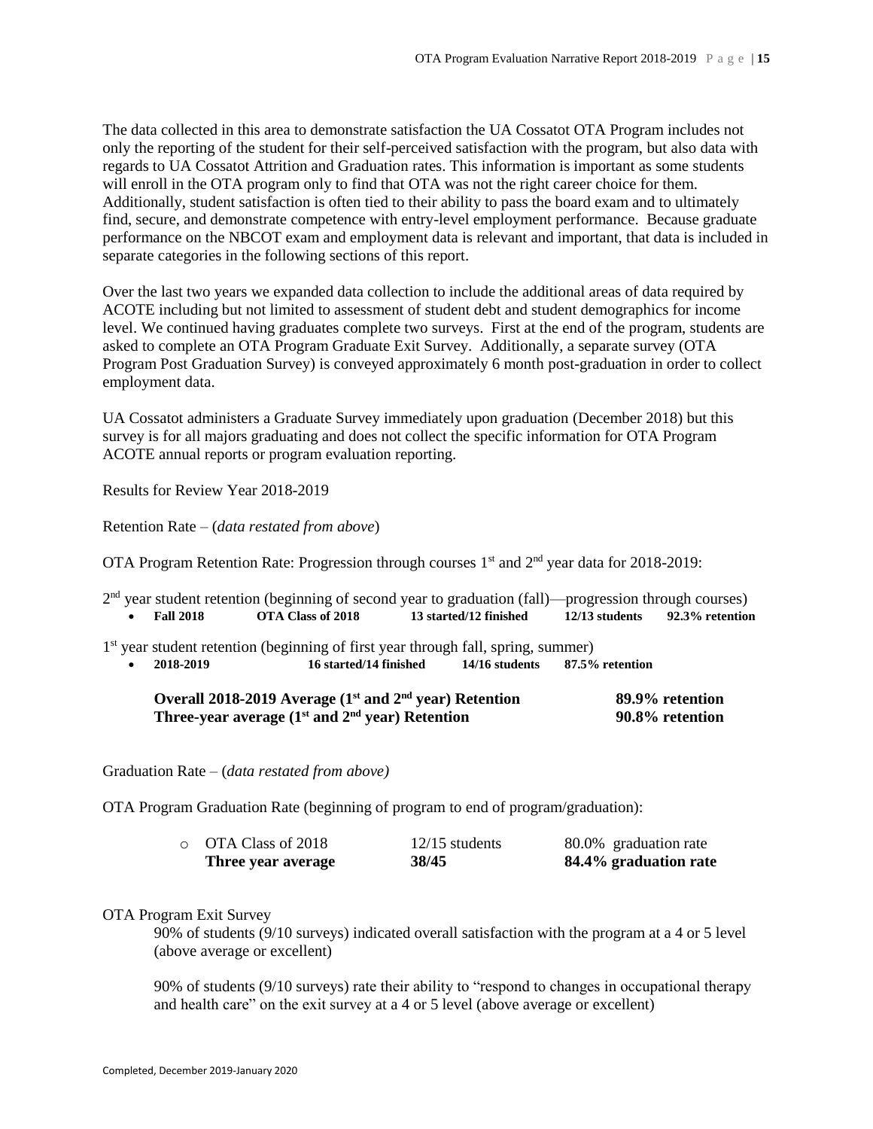The data collected in this area to demonstrate satisfaction the UA Cossatot OTA Program includes not only the reporting of the student for their self-perceived satisfaction with the program, but also data with regards to UA Cossatot Attrition and Graduation rates. This information is important as some students will enroll in the OTA program only to find that OTA was not the right career choice for them. Additionally, student satisfaction is often tied to their ability to pass the board exam and to ultimately find, secure, and demonstrate competence with entry-level employment performance. Because graduate performance on the NBCOT exam and employment data is relevant and important, that data is included in separate categories in the following sections of this report.

Over the last two years we expanded data collection to include the additional areas of data required by ACOTE including but not limited to assessment of student debt and student demographics for income level. We continued having graduates complete two surveys. First at the end of the program, students are asked to complete an OTA Program Graduate Exit Survey. Additionally, a separate survey (OTA Program Post Graduation Survey) is conveyed approximately 6 month post-graduation in order to collect employment data.

UA Cossatot administers a Graduate Survey immediately upon graduation (December 2018) but this survey is for all majors graduating and does not collect the specific information for OTA Program ACOTE annual reports or program evaluation reporting.

Results for Review Year 2018-2019

Retention Rate – (*data restated from above*)

OTA Program Retention Rate: Progression through courses  $1<sup>st</sup>$  and  $2<sup>nd</sup>$  year data for 2018-2019:

|           |                  | $2nd$ year student retention (beginning of second year to graduation (fall)—progression through courses) |                                                       |                  |                 |
|-----------|------------------|----------------------------------------------------------------------------------------------------------|-------------------------------------------------------|------------------|-----------------|
| $\bullet$ | <b>Fall 2018</b> | OTA Class of 2018                                                                                        | 13 started/12 finished                                | $12/13$ students | 92.3% retention |
|           |                  | $1st$ year student retention (beginning of first year through fall, spring, summer)                      |                                                       |                  |                 |
| $\bullet$ | 2018-2019        |                                                                                                          | 16 started/14 finished 14/16 students 87.5% retention |                  |                 |
|           |                  | Overall 2018-2019 Average $(1st$ and $2nd$ year) Retention                                               |                                                       |                  | 89.9% retention |
|           |                  | Three-year average $(1^{st}$ and $2^{nd}$ year) Retention                                                |                                                       |                  | 90.8% retention |

Graduation Rate – (*data restated from above)*

OTA Program Graduation Rate (beginning of program to end of program/graduation):

| Three year average        | 38/45            | 84.4% graduation rate |
|---------------------------|------------------|-----------------------|
| $\circ$ OTA Class of 2018 | $12/15$ students | 80.0% graduation rate |

## OTA Program Exit Survey

90% of students (9/10 surveys) indicated overall satisfaction with the program at a 4 or 5 level (above average or excellent)

90% of students (9/10 surveys) rate their ability to "respond to changes in occupational therapy and health care" on the exit survey at a 4 or 5 level (above average or excellent)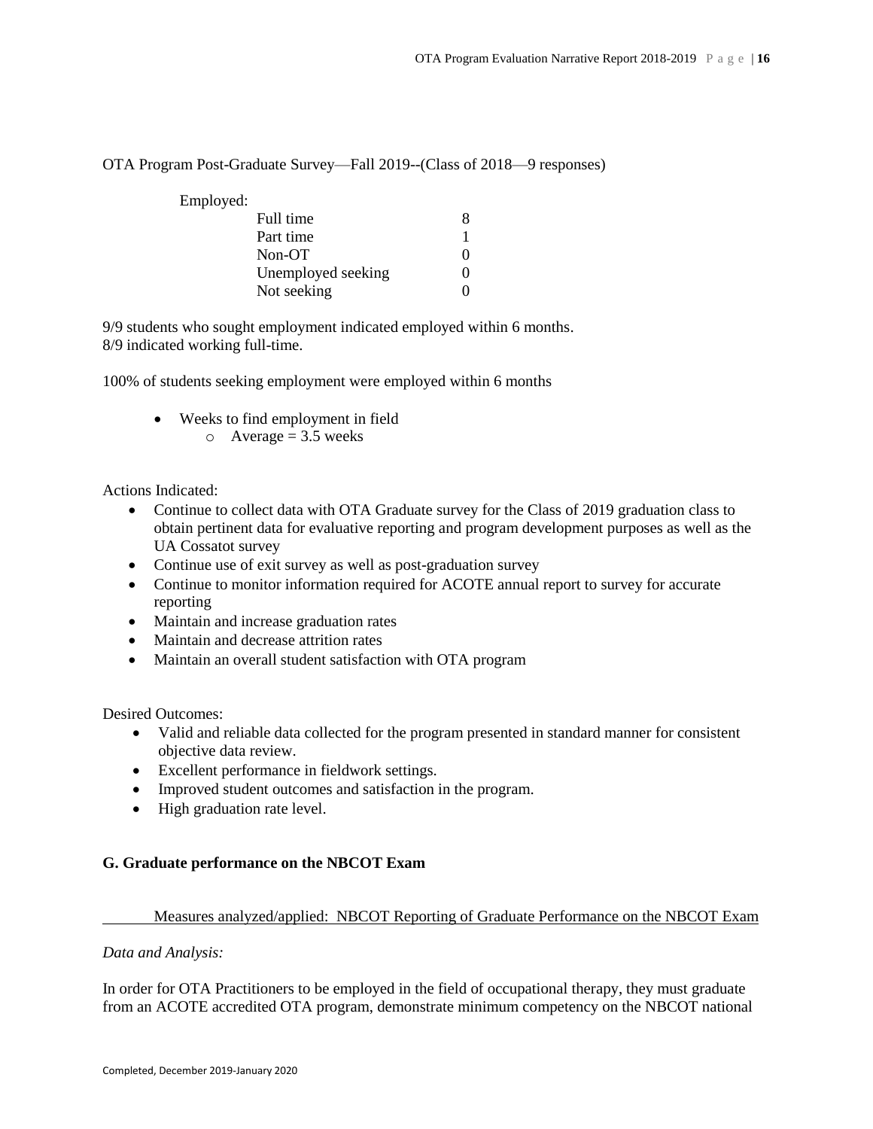# OTA Program Post-Graduate Survey—Fall 2019--(Class of 2018—9 responses)

Employed:

| Full time          |                   |
|--------------------|-------------------|
| Part time          |                   |
| Non-OT             | $\mathbf{\Omega}$ |
| Unemployed seeking | $\mathbf{\Omega}$ |
| Not seeking        | $\mathbf{\Omega}$ |

9/9 students who sought employment indicated employed within 6 months. 8/9 indicated working full-time.

100% of students seeking employment were employed within 6 months

- Weeks to find employment in field
	- $\circ$  Average = 3.5 weeks

Actions Indicated:

- Continue to collect data with OTA Graduate survey for the Class of 2019 graduation class to obtain pertinent data for evaluative reporting and program development purposes as well as the UA Cossatot survey
- Continue use of exit survey as well as post-graduation survey
- Continue to monitor information required for ACOTE annual report to survey for accurate reporting
- Maintain and increase graduation rates
- Maintain and decrease attrition rates
- Maintain an overall student satisfaction with OTA program

Desired Outcomes:

- Valid and reliable data collected for the program presented in standard manner for consistent objective data review.
- Excellent performance in fieldwork settings.
- Improved student outcomes and satisfaction in the program.
- High graduation rate level.

# **G. Graduate performance on the NBCOT Exam**

# Measures analyzed/applied: NBCOT Reporting of Graduate Performance on the NBCOT Exam

## *Data and Analysis:*

In order for OTA Practitioners to be employed in the field of occupational therapy, they must graduate from an ACOTE accredited OTA program, demonstrate minimum competency on the NBCOT national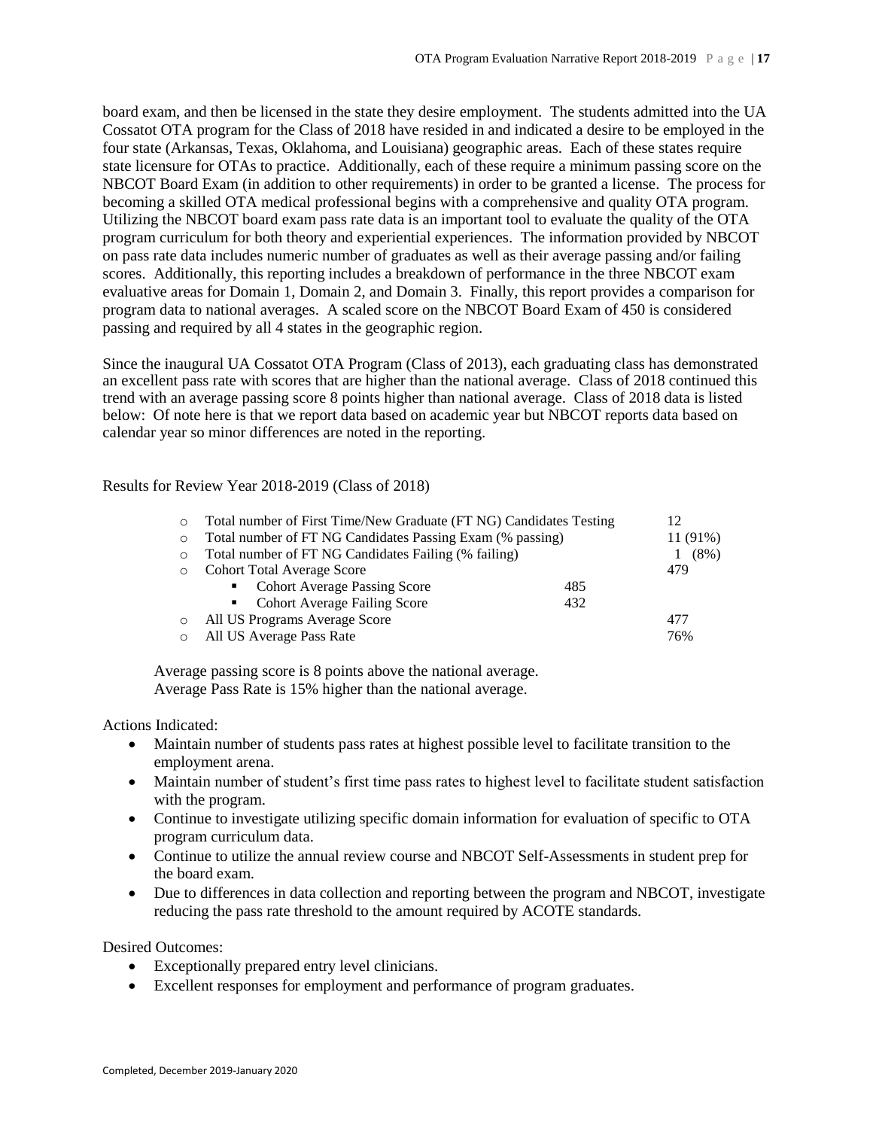board exam, and then be licensed in the state they desire employment. The students admitted into the UA Cossatot OTA program for the Class of 2018 have resided in and indicated a desire to be employed in the four state (Arkansas, Texas, Oklahoma, and Louisiana) geographic areas. Each of these states require state licensure for OTAs to practice. Additionally, each of these require a minimum passing score on the NBCOT Board Exam (in addition to other requirements) in order to be granted a license. The process for becoming a skilled OTA medical professional begins with a comprehensive and quality OTA program. Utilizing the NBCOT board exam pass rate data is an important tool to evaluate the quality of the OTA program curriculum for both theory and experiential experiences. The information provided by NBCOT on pass rate data includes numeric number of graduates as well as their average passing and/or failing scores. Additionally, this reporting includes a breakdown of performance in the three NBCOT exam evaluative areas for Domain 1, Domain 2, and Domain 3. Finally, this report provides a comparison for program data to national averages. A scaled score on the NBCOT Board Exam of 450 is considered passing and required by all 4 states in the geographic region.

Since the inaugural UA Cossatot OTA Program (Class of 2013), each graduating class has demonstrated an excellent pass rate with scores that are higher than the national average. Class of 2018 continued this trend with an average passing score 8 points higher than national average. Class of 2018 data is listed below: Of note here is that we report data based on academic year but NBCOT reports data based on calendar year so minor differences are noted in the reporting.

Results for Review Year 2018-2019 (Class of 2018)

| $\circ$ | Total number of First Time/New Graduate (FT NG) Candidates Testing |     | 12         |
|---------|--------------------------------------------------------------------|-----|------------|
| $\circ$ | Total number of FT NG Candidates Passing Exam (% passing)          |     | $11(91\%)$ |
| $\circ$ | Total number of FT NG Candidates Failing (% failing)               |     | $(8\%)$    |
| $\circ$ | <b>Cohort Total Average Score</b>                                  |     | 479        |
|         | • Cohort Average Passing Score                                     | 485 |            |
|         | • Cohort Average Failing Score                                     | 432 |            |
| $\circ$ | All US Programs Average Score                                      |     | 477        |
| $\circ$ | All US Average Pass Rate                                           |     | 76%        |

Average passing score is 8 points above the national average. Average Pass Rate is 15% higher than the national average.

## Actions Indicated:

- Maintain number of students pass rates at highest possible level to facilitate transition to the employment arena.
- Maintain number of student's first time pass rates to highest level to facilitate student satisfaction with the program.
- Continue to investigate utilizing specific domain information for evaluation of specific to OTA program curriculum data.
- Continue to utilize the annual review course and NBCOT Self-Assessments in student prep for the board exam.
- Due to differences in data collection and reporting between the program and NBCOT, investigate reducing the pass rate threshold to the amount required by ACOTE standards.

- Exceptionally prepared entry level clinicians.
- Excellent responses for employment and performance of program graduates.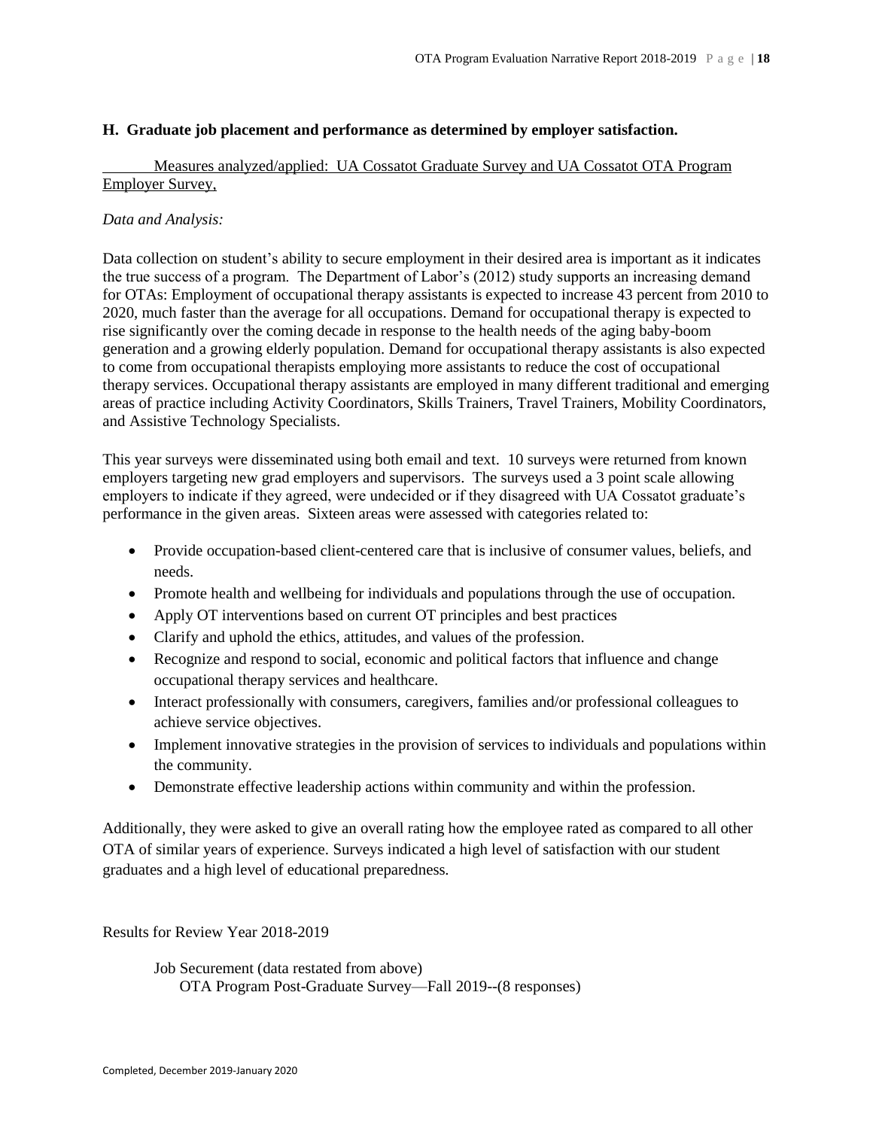# **H. Graduate job placement and performance as determined by employer satisfaction.**

# Measures analyzed/applied: UA Cossatot Graduate Survey and UA Cossatot OTA Program Employer Survey,

## *Data and Analysis:*

Data collection on student's ability to secure employment in their desired area is important as it indicates the true success of a program. The Department of Labor's (2012) study supports an increasing demand for OTAs: Employment of occupational therapy assistants is expected to increase 43 percent from 2010 to 2020, much faster than the average for all occupations. Demand for occupational therapy is expected to rise significantly over the coming decade in response to the health needs of the aging baby-boom generation and a growing elderly population. Demand for occupational therapy assistants is also expected to come from occupational therapists employing more assistants to reduce the cost of occupational therapy services. Occupational therapy assistants are employed in many different traditional and emerging areas of practice including Activity Coordinators, Skills Trainers, Travel Trainers, Mobility Coordinators, and Assistive Technology Specialists.

This year surveys were disseminated using both email and text. 10 surveys were returned from known employers targeting new grad employers and supervisors. The surveys used a 3 point scale allowing employers to indicate if they agreed, were undecided or if they disagreed with UA Cossatot graduate's performance in the given areas. Sixteen areas were assessed with categories related to:

- Provide occupation-based client-centered care that is inclusive of consumer values, beliefs, and needs.
- Promote health and wellbeing for individuals and populations through the use of occupation.
- Apply OT interventions based on current OT principles and best practices
- Clarify and uphold the ethics, attitudes, and values of the profession.
- Recognize and respond to social, economic and political factors that influence and change occupational therapy services and healthcare.
- Interact professionally with consumers, caregivers, families and/or professional colleagues to achieve service objectives.
- Implement innovative strategies in the provision of services to individuals and populations within the community.
- Demonstrate effective leadership actions within community and within the profession.

Additionally, they were asked to give an overall rating how the employee rated as compared to all other OTA of similar years of experience. Surveys indicated a high level of satisfaction with our student graduates and a high level of educational preparedness.

Results for Review Year 2018-2019

Job Securement (data restated from above) OTA Program Post-Graduate Survey—Fall 2019--(8 responses)